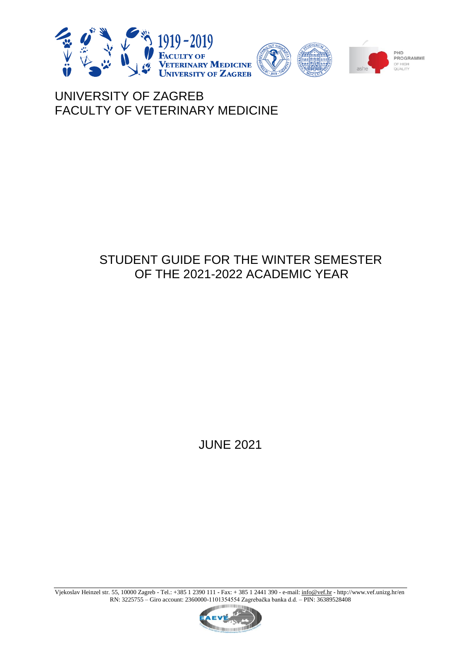

# UNIVERSITY OF ZAGREB FACULTY OF VETERINARY MEDICINE

# STUDENT GUIDE FOR THE WINTER SEMESTER OF THE 2021-2022 ACADEMIC YEAR

JUNE 2021

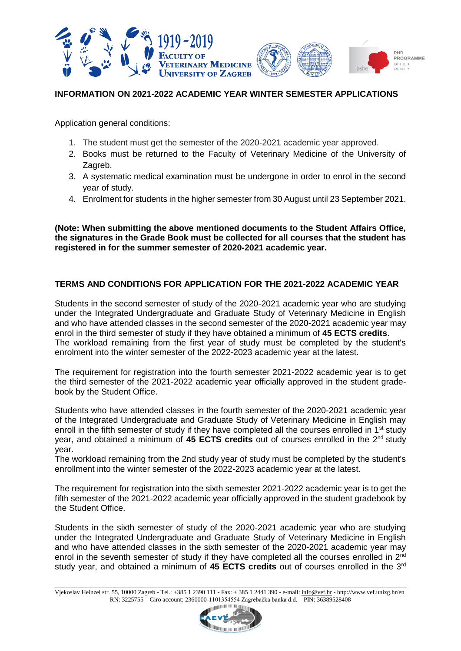

## **INFORMATION ON 2021-2022 ACADEMIC YEAR WINTER SEMESTER APPLICATIONS**

Application general conditions:

- 1. The student must get the semester of the 2020-2021 academic year approved.
- 2. Books must be returned to the Faculty of Veterinary Medicine of the University of Zagreb.
- 3. A systematic medical examination must be undergone in order to enrol in the second year of study.
- 4. Enrolment for students in the higher semester from 30 August until 23 September 2021.

**(Note: When submitting the above mentioned documents to the Student Affairs Office, the signatures in the Grade Book must be collected for all courses that the student has registered in for the summer semester of 2020-2021 academic year.**

# **TERMS AND CONDITIONS FOR APPLICATION FOR THE 2021-2022 ACADEMIC YEAR**

Students in the second semester of study of the 2020-2021 academic year who are studying under the Integrated Undergraduate and Graduate Study of Veterinary Medicine in English and who have attended classes in the second semester of the 2020-2021 academic year may enrol in the third semester of study if they have obtained a minimum of **45 ECTS credits**. The workload remaining from the first year of study must be completed by the student's enrolment into the winter semester of the 2022-2023 academic year at the latest.

The requirement for registration into the fourth semester 2021-2022 academic year is to get the third semester of the 2021-2022 academic year officially approved in the student gradebook by the Student Office.

Students who have attended classes in the fourth semester of the 2020-2021 academic year of the Integrated Undergraduate and Graduate Study of Veterinary Medicine in English may enroll in the fifth semester of study if they have completed all the courses enrolled in  $1<sup>st</sup>$  study year, and obtained a minimum of **45 ECTS credits** out of courses enrolled in the 2nd study year.

The workload remaining from the 2nd study year of study must be completed by the student's enrollment into the winter semester of the 2022-2023 academic year at the latest.

The requirement for registration into the sixth semester 2021-2022 academic year is to get the fifth semester of the 2021-2022 academic year officially approved in the student gradebook by the Student Office.

Students in the sixth semester of study of the 2020-2021 academic year who are studying under the Integrated Undergraduate and Graduate Study of Veterinary Medicine in English and who have attended classes in the sixth semester of the 2020-2021 academic year may enrol in the seventh semester of study if they have completed all the courses enrolled in 2<sup>nd</sup> study year, and obtained a minimum of **45 ECTS credits** out of courses enrolled in the 3rd

Vjekoslav Heinzel str. 55, 10000 Zagreb - Tel.: +385 1 2390 111 **-** Fax: + 385 1 2441 390 - e-mail[: info@vef.hr](mailto:info@vef.hr) - http://www.vef.unizg.hr/en RN: 3225755 – Giro account: 2360000-1101354554 Zagrebačka banka d.d. – PIN: 36389528408

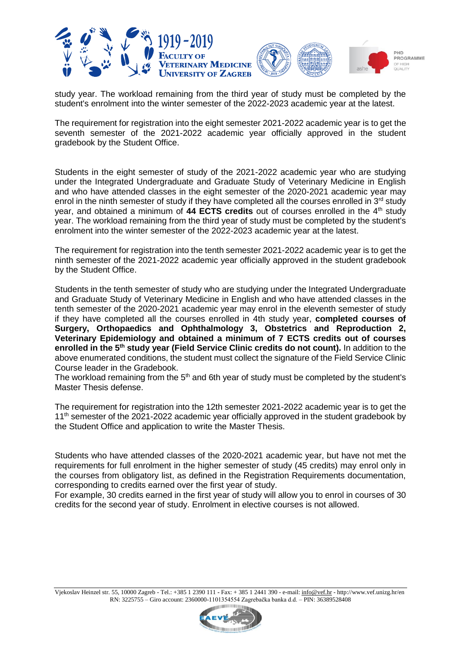

study year. The workload remaining from the third year of study must be completed by the student's enrolment into the winter semester of the 2022-2023 academic year at the latest.

The requirement for registration into the eight semester 2021-2022 academic year is to get the seventh semester of the 2021-2022 academic year officially approved in the student gradebook by the Student Office.

Students in the eight semester of study of the 2021-2022 academic year who are studying under the Integrated Undergraduate and Graduate Study of Veterinary Medicine in English and who have attended classes in the eight semester of the 2020-2021 academic year may enrol in the ninth semester of study if they have completed all the courses enrolled in  $3<sup>rd</sup>$  study year, and obtained a minimum of **44 ECTS credits** out of courses enrolled in the 4th study year. The workload remaining from the third year of study must be completed by the student's enrolment into the winter semester of the 2022-2023 academic year at the latest.

The requirement for registration into the tenth semester 2021-2022 academic year is to get the ninth semester of the 2021-2022 academic year officially approved in the student gradebook by the Student Office.

Students in the tenth semester of study who are studying under the Integrated Undergraduate and Graduate Study of Veterinary Medicine in English and who have attended classes in the tenth semester of the 2020-2021 academic year may enrol in the eleventh semester of study if they have completed all the courses enrolled in 4th study year, **completed courses of Surgery, Orthopaedics and Ophthalmology 3, Obstetrics and Reproduction 2, Veterinary Epidemiology and obtained a minimum of 7 ECTS credits out of courses enrolled in the 5th study year (Field Service Clinic credits do not count).** In addition to the above enumerated conditions, the student must collect the signature of the Field Service Clinic Course leader in the Gradebook.

The workload remaining from the  $5<sup>th</sup>$  and 6th year of study must be completed by the student's Master Thesis defense.

The requirement for registration into the 12th semester 2021-2022 academic year is to get the 11<sup>th</sup> semester of the 2021-2022 academic year officially approved in the student gradebook by the Student Office and application to write the Master Thesis.

Students who have attended classes of the 2020-2021 academic year, but have not met the requirements for full enrolment in the higher semester of study (45 credits) may enrol only in the courses from obligatory list, as defined in the Registration Requirements documentation, corresponding to credits earned over the first year of study.

For example, 30 credits earned in the first year of study will allow you to enrol in courses of 30 credits for the second year of study. Enrolment in elective courses is not allowed.

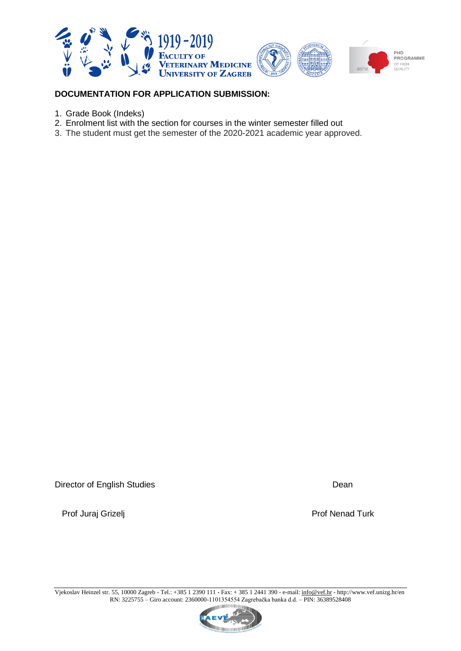

# **DOCUMENTATION FOR APPLICATION SUBMISSION:**

- 1. Grade Book (Indeks)
- 2. Enrolment list with the section for courses in the winter semester filled out
- 3. The student must get the semester of the 2020-2021 academic year approved.

Director of English Studies **Director of English Studies** Dean

Prof Juraj Grizelj **Prof Nenad Turk** 

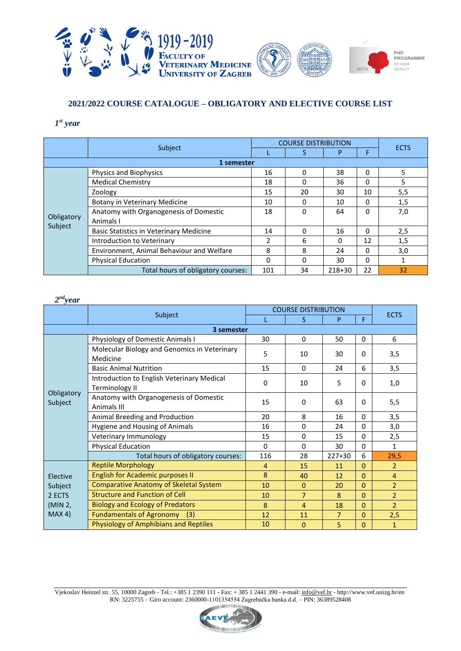

# **2021/2022 COURSE CATALOGUE – OBLIGATORY AND ELECTIVE COURSE LIST**

## *1 st year*

|                       |                                                |     | <b>COURSE DISTRIBUTION</b> |        |          |             |
|-----------------------|------------------------------------------------|-----|----------------------------|--------|----------|-------------|
|                       | Subject                                        |     |                            | P      | F        | <b>ECTS</b> |
|                       | 1 semester                                     |     |                            |        |          |             |
|                       | Physics and Biophysics                         | 16  | 0                          | 38     | $\Omega$ | 5           |
|                       | <b>Medical Chemistry</b>                       | 18  | 0                          | 36     | 0        | 5           |
|                       | Zoology                                        | 15  | 20                         | 30     | 10       | 5,5         |
|                       | Botany in Veterinary Medicine                  | 10  | 0                          | 10     | $\Omega$ | 1,5         |
|                       | Anatomy with Organogenesis of Domestic         | 18  | 0                          | 64     | $\Omega$ | 7,0         |
| Obligatory<br>Subject | Animals I                                      |     |                            |        |          |             |
|                       | <b>Basic Statistics in Veterinary Medicine</b> | 14  | 0                          | 16     | $\Omega$ | 2,5         |
|                       | Introduction to Veterinary                     | 2   | 6                          | 0      | 12       | 1,5         |
|                       | Environment, Animal Behaviour and Welfare      | 8   | 8                          | 24     | $\Omega$ | 3,0         |
|                       | <b>Physical Education</b>                      | 0   | 0                          | 30     | $\Omega$ |             |
|                       | Total hours of obligatory courses:             | 101 | 34                         | 218+30 | 22       | 32          |

| $2^{nd}$ year         |                                                                                             |             |                            |                |              |                |
|-----------------------|---------------------------------------------------------------------------------------------|-------------|----------------------------|----------------|--------------|----------------|
|                       |                                                                                             |             | <b>COURSE DISTRIBUTION</b> |                |              | <b>ECTS</b>    |
|                       | Subject                                                                                     |             | S                          | P              | F            |                |
|                       | 3 semester                                                                                  |             |                            |                |              |                |
|                       | Physiology of Domestic Animals I                                                            | 30          | 0                          | 50             | 0            | 6              |
|                       | Molecular Biology and Genomics in Veterinary<br>Medicine                                    | 5           | 10                         | 30             | 0            | 3,5            |
|                       | <b>Basic Animal Nutrition</b>                                                               | 15          | 0                          | 24             | 6            | 3,5            |
|                       | Introduction to English Veterinary Medical<br>Terminology II                                | $\mathbf 0$ | 10                         | 5              | $\Omega$     | 1,0            |
| Obligatory<br>Subject | Anatomy with Organogenesis of Domestic<br>Animals III                                       | 15          | 0                          | 63             | 0            | 5,5            |
|                       | Animal Breeding and Production                                                              | 20          | 8                          | 16             | $\Omega$     | 3,5            |
|                       | Hygiene and Housing of Animals                                                              | 16          | $\Omega$                   | 24             | $\Omega$     | 3,0            |
|                       | Veterinary Immunology                                                                       | 15          | $\Omega$                   | 15             | $\Omega$     | 2,5            |
|                       | <b>Physical Education</b>                                                                   | $\Omega$    | 0                          | 30             | $\Omega$     | $\mathbf{1}$   |
|                       | Total hours of obligatory courses:                                                          | 116         | 28                         | 227+30         | 6            | 29,5           |
|                       | <b>Reptile Morphology</b>                                                                   | 4           | 15                         | 11             | $\mathbf{0}$ | $\overline{2}$ |
| Elective              | <b>English for Academic purposes II</b>                                                     | 8           | 40                         | 12             | $\Omega$     | $\overline{4}$ |
| Subject               | <b>Comparative Anatomy of Skeletal System</b>                                               | 10          | $\Omega$                   | 20             | $\Omega$     | $\overline{2}$ |
| 2 ECTS                | <b>Structure and Function of Cell</b><br><b>Biology and Ecology of Predators</b><br>(MIN 2, |             | $\overline{7}$             | 8              | $\Omega$     | $\overline{2}$ |
|                       |                                                                                             |             | $\overline{4}$             | 18             | 0            | $\overline{2}$ |
| MAX 4)                | <b>Fundamentals of Agronomy</b><br>(3)                                                      | 12          | 11                         | $\overline{7}$ | $\Omega$     | 2,5            |
|                       | <b>Physiology of Amphibians and Reptiles</b>                                                | 10          | $\mathbf{0}$               | 5              | 0            | $\mathbf{1}$   |

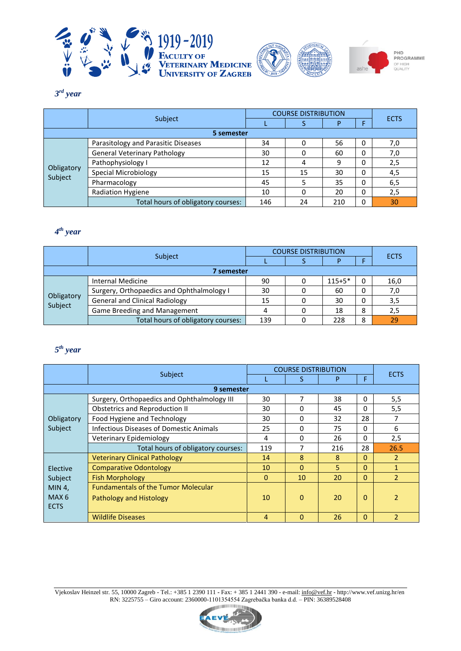





## *3 rd year*

|                       |                                     | <b>COURSE DISTRIBUTION</b> |    |     |   |             |
|-----------------------|-------------------------------------|----------------------------|----|-----|---|-------------|
|                       | Subject                             |                            |    |     | F | <b>ECTS</b> |
|                       | 5 semester                          |                            |    |     |   |             |
|                       | Parasitology and Parasitic Diseases | 34                         | 0  | 56  | 0 | 7,0         |
|                       | <b>General Veterinary Pathology</b> | 30                         | 0  | 60  | 0 | 7,0         |
|                       | Pathophysiology I                   | 12                         | 4  | 9   | 0 | 2,5         |
| Obligatory<br>Subject | Special Microbiology                | 15                         | 15 | 30  | 0 | 4,5         |
|                       | Pharmacology                        | 45                         |    | 35  | 0 | 6,5         |
|                       | Radiation Hygiene                   | 10                         | 0  | 20  | 0 | 2,5         |
|                       | Total hours of obligatory courses:  | 146                        | 24 | 210 | 0 | 30          |

# *4 th year*

|                       |                                           | <b>COURSE DISTRIBUTION</b> |  |          |   |             |  |
|-----------------------|-------------------------------------------|----------------------------|--|----------|---|-------------|--|
|                       | Subject                                   |                            |  |          |   | <b>ECTS</b> |  |
|                       | 7 semester                                |                            |  |          |   |             |  |
|                       | <b>Internal Medicine</b>                  | 90                         |  | $115+5*$ | 0 | 16,0        |  |
|                       | Surgery, Orthopaedics and Ophthalmology I | 30                         |  | 60       | 0 | 7,0         |  |
| Obligatory<br>Subject | <b>General and Clinical Radiology</b>     | 15                         |  | 30       | 0 | 3,5         |  |
|                       | Game Breeding and Management              |                            |  | 18       | 8 | 2,5         |  |
|                       | Total hours of obligatory courses:        | 139                        |  | 228      | 8 | 29          |  |

# *5 th year*

|                  |                                                | <b>COURSE DISTRIBUTION</b> |                |     |          |                |
|------------------|------------------------------------------------|----------------------------|----------------|-----|----------|----------------|
|                  | Subject                                        |                            | S              | P   | F        | <b>ECTS</b>    |
|                  | 9 semester                                     |                            |                |     |          |                |
|                  | Surgery, Orthopaedics and Ophthalmology III    | 30                         | 7              | 38  | 0        | 5,5            |
|                  | <b>Obstetrics and Reproduction II</b>          | 30                         | 0              | 45  | 0        | 5,5            |
| Obligatory       | Food Hygiene and Technology                    | 30                         | $\Omega$       | 32  | 28       | 7              |
| Subject          | <b>Infectious Diseases of Domestic Animals</b> | 25                         | $\Omega$       | 75  | 0        | 6              |
|                  | Veterinary Epidemiology                        | 4                          | 0              | 26  | 0        | 2,5            |
|                  | Total hours of obligatory courses:             | 119                        | 7              | 216 | 28       | 26.5           |
|                  | <b>Veterinary Clinical Pathology</b>           | 14                         | 8              | 8   | $\Omega$ | $\mathcal{P}$  |
| Elective         | <b>Comparative Odontology</b>                  | 10                         | $\Omega$       | 5   | 0        | $\mathbf{1}$   |
| Subject          | <b>Fish Morphology</b>                         | $\Omega$                   | 10             | 20  | $\Omega$ | $\overline{2}$ |
| MIN 4,           | <b>Fundamentals of the Tumor Molecular</b>     |                            |                |     |          |                |
| MAX <sub>6</sub> | Pathology and Histology                        | 10                         | $\Omega$       | 20  | 0        | $\overline{2}$ |
| <b>ECTS</b>      |                                                |                            |                |     |          |                |
|                  | <b>Wildlife Diseases</b>                       | 4                          | $\overline{0}$ | 26  | $\Omega$ | $\overline{2}$ |

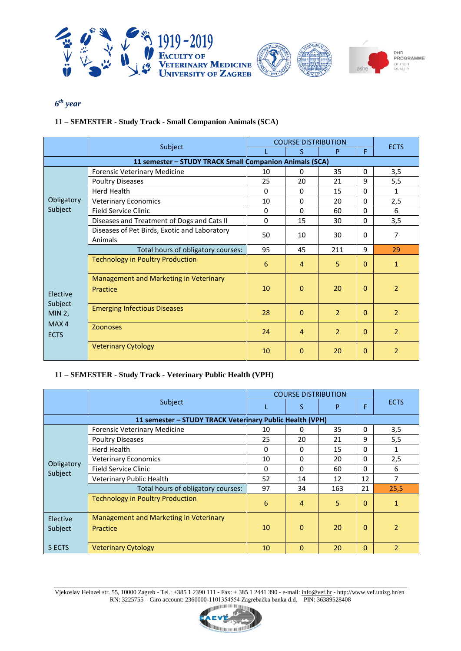

*6 th year*

# **11 – SEMESTER - Study Track - Small Companion Animals (SCA)**

|                                                                    |                                                         | <b>COURSE DISTRIBUTION</b> |                |                |              |                |
|--------------------------------------------------------------------|---------------------------------------------------------|----------------------------|----------------|----------------|--------------|----------------|
|                                                                    | Subject                                                 |                            | S              | P              | F.           | <b>ECTS</b>    |
|                                                                    | 11 semester - STUDY TRACK Small Companion Animals (SCA) |                            |                |                |              |                |
|                                                                    | Forensic Veterinary Medicine                            | 10                         | 0              | 35             | $\Omega$     | 3,5            |
|                                                                    | <b>Poultry Diseases</b>                                 | 25                         | 20             | 21             | 9            | 5,5            |
|                                                                    | <b>Herd Health</b>                                      | $\Omega$                   | $\Omega$       | 15             | $\Omega$     | 1              |
| Obligatory                                                         | <b>Veterinary Economics</b>                             | 10                         | $\Omega$       | 20             | $\Omega$     | 2,5            |
| Subject                                                            | <b>Field Service Clinic</b>                             | 0                          | 0              | 60             | 0            | 6              |
|                                                                    | Diseases and Treatment of Dogs and Cats II              | 0                          | 15             | 30             | $\Omega$     | 3,5            |
|                                                                    | Diseases of Pet Birds, Exotic and Laboratory            | 50                         | 10             | 30             | $\Omega$     | 7              |
|                                                                    | Animals                                                 |                            |                |                |              |                |
|                                                                    | Total hours of obligatory courses:                      | 95                         | 45             | 211            | 9            | 29             |
|                                                                    | <b>Technology in Poultry Production</b>                 | 6                          | $\overline{4}$ | 5              | $\Omega$     | $\mathbf{1}$   |
| <b>Flective</b><br>Subject<br><b>MIN 2,</b><br>MAX4<br><b>ECTS</b> | Management and Marketing in Veterinary<br>Practice      | 10                         | $\Omega$       | 20             | $\mathbf{0}$ | $\overline{2}$ |
|                                                                    | <b>Emerging Infectious Diseases</b>                     | 28                         | $\mathbf{0}$   | $\overline{2}$ | $\Omega$     | $\overline{2}$ |
|                                                                    | <b>Zoonoses</b>                                         | 24                         | $\overline{4}$ | $\overline{2}$ | $\Omega$     | $\overline{2}$ |
|                                                                    | <b>Veterinary Cytology</b>                              | 10                         | $\Omega$       | 20             | $\mathbf{0}$ | $\overline{2}$ |

## **11 – SEMESTER - Study Track - Veterinary Public Health (VPH)**

|                       |                                                          | <b>COURSE DISTRIBUTION</b> |          |     |              |                |
|-----------------------|----------------------------------------------------------|----------------------------|----------|-----|--------------|----------------|
|                       | Subject                                                  |                            | S        | P   | F            | <b>ECTS</b>    |
|                       | 11 semester - STUDY TRACK Veterinary Public Health (VPH) |                            |          |     |              |                |
|                       | <b>Forensic Veterinary Medicine</b>                      | 10                         | 0        | 35  | 0            | 3,5            |
|                       | <b>Poultry Diseases</b>                                  | 25                         | 20       | 21  | 9            | 5,5            |
|                       | Herd Health                                              | 0                          | 0        | 15  | 0            |                |
|                       | <b>Veterinary Economics</b>                              | 10                         | 0        | 20  | $\mathbf{0}$ | 2,5            |
| Obligatory<br>Subject | Field Service Clinic                                     | 0                          | 0        | 60  | $\Omega$     | 6              |
|                       | Veterinary Public Health                                 | 52                         | 14       | 12  | 12           | 7              |
|                       | Total hours of obligatory courses:                       | 97                         | 34       | 163 | 21           | 25,5           |
|                       | <b>Technology in Poultry Production</b>                  | 6                          | 4        | 5   | $\Omega$     | 1              |
| Elective<br>Subject   | Management and Marketing in Veterinary<br>Practice       | 10                         | $\Omega$ | 20  | $\Omega$     | $\overline{2}$ |
| 5 ECTS                | <b>Veterinary Cytology</b>                               | 10                         | $\Omega$ | 20  | $\Omega$     | $\overline{2}$ |

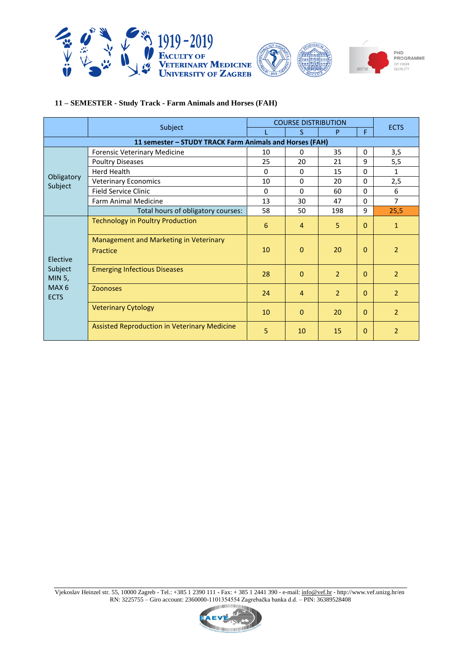

## **11 – SEMESTER - Study Track - Farm Animals and Horses (FAH)**

|                                 |                                                         | <b>COURSE DISTRIBUTION</b> |                |                |              |                |
|---------------------------------|---------------------------------------------------------|----------------------------|----------------|----------------|--------------|----------------|
|                                 | Subject                                                 |                            | S              | P              | F.           | <b>ECTS</b>    |
|                                 | 11 semester - STUDY TRACK Farm Animals and Horses (FAH) |                            |                |                |              |                |
|                                 | <b>Forensic Veterinary Medicine</b>                     | 10                         | 0              | 35             | $\mathbf{0}$ | 3,5            |
|                                 | <b>Poultry Diseases</b>                                 | 25                         | 20             | 21             | 9            | 5,5            |
|                                 | <b>Herd Health</b>                                      | 0                          | 0              | 15             | 0            | 1              |
| Obligatory<br>Subject           | <b>Veterinary Economics</b>                             | 10                         | $\Omega$       | 20             | 0            | 2,5            |
|                                 | <b>Field Service Clinic</b>                             | 0                          | $\Omega$       | 60             | $\Omega$     | 6              |
|                                 | Farm Animal Medicine                                    | 13                         | 30             | 47             | 0            | $\overline{7}$ |
|                                 | Total hours of obligatory courses:                      | 58                         | 50             | 198            | 9            | 25,5           |
|                                 | <b>Technology in Poultry Production</b>                 |                            | $\overline{4}$ | 5              | $\Omega$     | $\mathbf{1}$   |
| Elective                        | Management and Marketing in Veterinary<br>Practice      | 10                         | $\Omega$       | 20             | $\Omega$     | $\overline{2}$ |
| Subject<br>MIN 5,               | <b>Emerging Infectious Diseases</b>                     | 28                         | $\mathbf{0}$   | $\overline{2}$ | $\Omega$     | $\overline{2}$ |
| MAX <sub>6</sub><br><b>ECTS</b> | <b>Zoonoses</b>                                         | 24                         | $\overline{4}$ | $\overline{2}$ | $\mathbf{0}$ | $\overline{2}$ |
|                                 | <b>Veterinary Cytology</b>                              | 10                         | $\Omega$       | 20             | $\mathbf{0}$ | $\overline{2}$ |
|                                 | Assisted Reproduction in Veterinary Medicine            | 5                          | 10             | 15             | $\Omega$     | 2              |

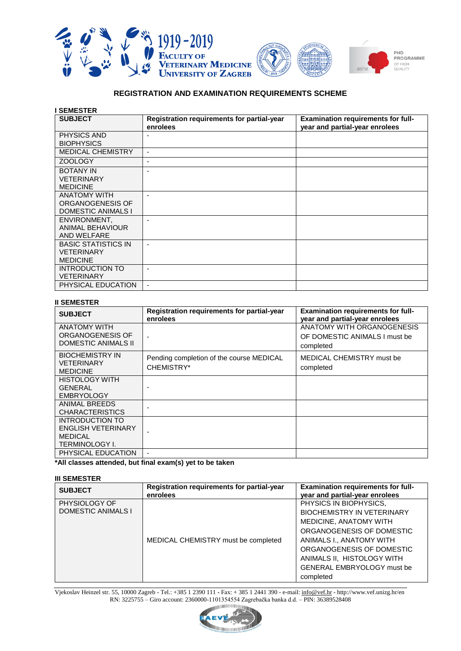

#### **REGISTRATION AND EXAMINATION REQUIREMENTS SCHEME**

| <b>SEMESTER</b>            |                                            |                                           |
|----------------------------|--------------------------------------------|-------------------------------------------|
| <b>SUBJECT</b>             | Registration requirements for partial-year | <b>Examination requirements for full-</b> |
|                            | enrolees                                   | year and partial-year enrolees            |
| <b>PHYSICS AND</b>         |                                            |                                           |
| <b>BIOPHYSICS</b>          |                                            |                                           |
| <b>MEDICAL CHEMISTRY</b>   | $\overline{\phantom{a}}$                   |                                           |
| <b>ZOOLOGY</b>             | $\overline{\phantom{a}}$                   |                                           |
| <b>BOTANY IN</b>           | ٠                                          |                                           |
| <b>VETERINARY</b>          |                                            |                                           |
| <b>MEDICINE</b>            |                                            |                                           |
| <b>ANATOMY WITH</b>        |                                            |                                           |
| ORGANOGENESIS OF           |                                            |                                           |
| <b>DOMESTIC ANIMALS I</b>  |                                            |                                           |
| ENVIRONMENT,               |                                            |                                           |
| ANIMAL BEHAVIOUR           |                                            |                                           |
| AND WELFARE                |                                            |                                           |
| <b>BASIC STATISTICS IN</b> | $\blacksquare$                             |                                           |
| <b>VETERINARY</b>          |                                            |                                           |
| <b>MEDICINE</b>            |                                            |                                           |
| INTRODUCTION TO            | $\blacksquare$                             |                                           |
| <b>VETERINARY</b>          |                                            |                                           |
| PHYSICAL EDUCATION         |                                            |                                           |

#### **II SEMESTER**

| <b>SUBJECT</b>                                                                                 | Registration requirements for partial-year<br>enrolees | <b>Examination requirements for full-</b><br>year and partial-year enrolees |
|------------------------------------------------------------------------------------------------|--------------------------------------------------------|-----------------------------------------------------------------------------|
| <b>ANATOMY WITH</b><br>ORGANOGENESIS OF<br><b>DOMESTIC ANIMALS II</b>                          |                                                        | ANATOMY WITH ORGANOGENESIS<br>OF DOMESTIC ANIMALS I must be<br>completed    |
| <b>BIOCHEMISTRY IN</b><br><b>VETERINARY</b><br><b>MEDICINE</b>                                 | Pending completion of the course MEDICAL<br>CHEMISTRY* | MEDICAL CHEMISTRY must be<br>completed                                      |
| <b>HISTOLOGY WITH</b><br>GENERAL<br><b>EMBRYOLOGY</b>                                          |                                                        |                                                                             |
| <b>ANIMAL BREEDS</b><br><b>CHARACTERISTICS</b>                                                 |                                                        |                                                                             |
| <b>INTRODUCTION TO</b><br><b>ENGLISH VETERINARY</b><br><b>MEDICAL</b><br><b>TERMINOLOGY I.</b> |                                                        |                                                                             |
| PHYSICAL EDUCATION                                                                             |                                                        |                                                                             |

**\*All classes attended, but final exam(s) yet to be taken**

#### **III SEMESTER**

| <b>SUBJECT</b>                             | Registration requirements for partial-year<br>enrolees | <b>Examination requirements for full-</b><br>year and partial-year enrolees                                                                                                                                                                                 |
|--------------------------------------------|--------------------------------------------------------|-------------------------------------------------------------------------------------------------------------------------------------------------------------------------------------------------------------------------------------------------------------|
| PHYSIOLOGY OF<br><b>DOMESTIC ANIMALS I</b> | MEDICAL CHEMISTRY must be completed                    | PHYSICS IN BIOPHYSICS,<br><b>BIOCHEMISTRY IN VETERINARY</b><br>MEDICINE, ANATOMY WITH<br>ORGANOGENESIS OF DOMESTIC<br>ANIMALS I., ANATOMY WITH<br>ORGANOGENESIS OF DOMESTIC<br>ANIMALS II, HISTOLOGY WITH<br><b>GENERAL EMBRYOLOGY must be</b><br>completed |

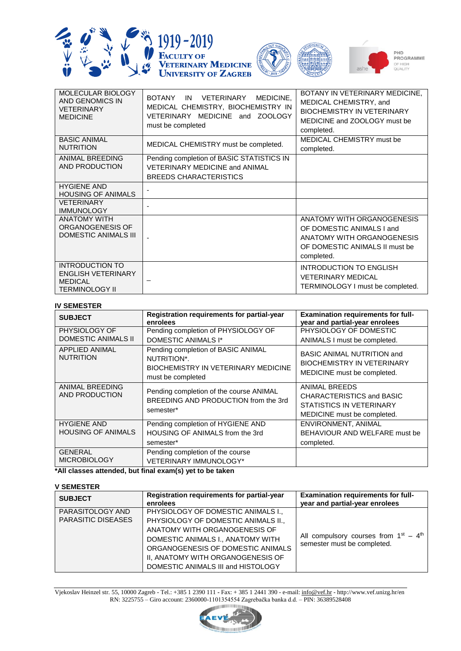





| MOLECULAR BIOLOGY<br>AND GENOMICS IN<br><b>VETERINARY</b><br><b>MEDICINE</b>                   | <b>BOTANY</b><br>MEDICINE,<br>VETERINARY<br>IN<br>MEDICAL CHEMISTRY, BIOCHEMISTRY IN<br>VETERINARY MEDICINE and ZOOLOGY<br>must be completed | BOTANY IN VETERINARY MEDICINE,<br>MEDICAL CHEMISTRY, and<br><b>BIOCHEMISTRY IN VETERINARY</b><br>MEDICINE and ZOOLOGY must be<br>completed. |
|------------------------------------------------------------------------------------------------|----------------------------------------------------------------------------------------------------------------------------------------------|---------------------------------------------------------------------------------------------------------------------------------------------|
| <b>BASIC ANIMAL</b><br><b>NUTRITION</b>                                                        | MEDICAL CHEMISTRY must be completed.                                                                                                         | MEDICAL CHEMISTRY must be<br>completed.                                                                                                     |
| ANIMAL BREEDING<br>AND PRODUCTION                                                              | Pending completion of BASIC STATISTICS IN<br><b>VETERINARY MEDICINE and ANIMAL</b><br><b>BREEDS CHARACTERISTICS</b>                          |                                                                                                                                             |
| <b>HYGIENE AND</b><br><b>HOUSING OF ANIMALS</b>                                                |                                                                                                                                              |                                                                                                                                             |
| <b>VETERINARY</b><br><b>IMMUNOLOGY</b>                                                         |                                                                                                                                              |                                                                                                                                             |
| <b>ANATOMY WITH</b><br>ORGANOGENESIS OF<br>DOMESTIC ANIMALS III                                |                                                                                                                                              | ANATOMY WITH ORGANOGENESIS<br>OF DOMESTIC ANIMALS I and<br>ANATOMY WITH ORGANOGENESIS<br>OF DOMESTIC ANIMALS II must be<br>completed.       |
| <b>INTRODUCTION TO</b><br><b>ENGLISH VETERINARY</b><br><b>MEDICAL</b><br><b>TERMINOLOGY II</b> |                                                                                                                                              | <b>INTRODUCTION TO ENGLISH</b><br><b>VETERINARY MEDICAL</b><br>TERMINOLOGY I must be completed.                                             |

## **IV SEMESTER**

| <b>SUBJECT</b>                                  | Registration requirements for partial-year<br>enrolees                                                        | <b>Examination requirements for full-</b><br>year and partial-year enrolees                           |
|-------------------------------------------------|---------------------------------------------------------------------------------------------------------------|-------------------------------------------------------------------------------------------------------|
| PHYSIOLOGY OF<br><b>DOMESTIC ANIMALS II</b>     | Pending completion of PHYSIOLOGY OF<br>DOMESTIC ANIMALS I*                                                    | PHYSIOLOGY OF DOMESTIC<br>ANIMALS I must be completed.                                                |
| <b>APPLIED ANIMAL</b><br><b>NUTRITION</b>       | Pending completion of BASIC ANIMAL<br>NUTRITION*.<br>BIOCHEMISTRY IN VETERINARY MEDICINE<br>must be completed | <b>BASIC ANIMAL NUTRITION and</b><br><b>BIOCHEMISTRY IN VETERINARY</b><br>MEDICINE must be completed. |
| ANIMAL BREEDING<br>AND PRODUCTION               | Pending completion of the course ANIMAL<br>BREEDING AND PRODUCTION from the 3rd<br>semester*                  | ANIMAL BREEDS<br>CHARACTERISTICS and BASIC<br>STATISTICS IN VETERINARY<br>MEDICINE must be completed. |
| <b>HYGIENE AND</b><br><b>HOUSING OF ANIMALS</b> | Pending completion of HYGIENE AND<br><b>HOUSING OF ANIMALS from the 3rd</b><br>semester*                      | ENVIRONMENT, ANIMAL<br>BEHAVIOUR AND WELFARE must be<br>completed.                                    |
| <b>GENERAL</b><br><b>MICROBIOLOGY</b>           | Pending completion of the course<br>VETERINARY IMMUNOLOGY*                                                    |                                                                                                       |

## **\*All classes attended, but final exam(s) yet to be taken**

#### **V SEMESTER**

| <b>SUBJECT</b>            | Registration requirements for partial-year<br>enrolees | <b>Examination requirements for full-</b><br>year and partial-year enrolees |
|---------------------------|--------------------------------------------------------|-----------------------------------------------------------------------------|
| PARASITOLOGY AND          | PHYSIOLOGY OF DOMESTIC ANIMALS I.,                     |                                                                             |
| <b>PARASITIC DISEASES</b> | PHYSIOLOGY OF DOMESTIC ANIMALS II.,                    |                                                                             |
|                           | ANATOMY WITH ORGANOGENESIS OF                          |                                                                             |
|                           | DOMESTIC ANIMALS I., ANATOMY WITH                      | All compulsory courses from $1st - 4th$<br>semester must be completed.      |
|                           | ORGANOGENESIS OF DOMESTIC ANIMALS                      |                                                                             |
|                           | II, ANATOMY WITH ORGANOGENESIS OF                      |                                                                             |
|                           | DOMESTIC ANIMALS III and HISTOLOGY                     |                                                                             |

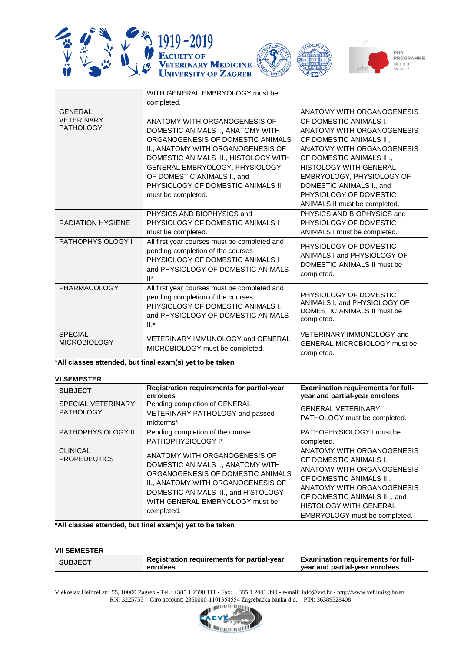







|                                                         | WITH GENERAL EMBRYOLOGY must be                                                                                                                                                                                                                         |                                                                                                                                                                                                                                        |
|---------------------------------------------------------|---------------------------------------------------------------------------------------------------------------------------------------------------------------------------------------------------------------------------------------------------------|----------------------------------------------------------------------------------------------------------------------------------------------------------------------------------------------------------------------------------------|
|                                                         | completed.                                                                                                                                                                                                                                              |                                                                                                                                                                                                                                        |
| <b>GENERAL</b><br><b>VETERINARY</b><br><b>PATHOLOGY</b> | ANATOMY WITH ORGANOGENESIS OF<br>DOMESTIC ANIMALS I., ANATOMY WITH<br>ORGANOGENESIS OF DOMESTIC ANIMALS<br>II., ANATOMY WITH ORGANOGENESIS OF<br>DOMESTIC ANIMALS III., HISTOLOGY WITH<br>GENERAL EMBRYOLOGY, PHYSIOLOGY<br>OF DOMESTIC ANIMALS I., and | ANATOMY WITH ORGANOGENESIS<br>OF DOMESTIC ANIMALS I.,<br>ANATOMY WITH ORGANOGENESIS<br>OF DOMESTIC ANIMALS II.,<br>ANATOMY WITH ORGANOGENESIS<br>OF DOMESTIC ANIMALS III<br><b>HISTOLOGY WITH GENERAL</b><br>EMBRYOLOGY, PHYSIOLOGY OF |
|                                                         | PHYSIOLOGY OF DOMESTIC ANIMALS II<br>must be completed.                                                                                                                                                                                                 | DOMESTIC ANIMALS I., and<br>PHYSIOLOGY OF DOMESTIC<br>ANIMALS II must be completed.                                                                                                                                                    |
| <b>RADIATION HYGIENE</b>                                | PHYSICS AND BIOPHYSICS and<br>PHYSIOLOGY OF DOMESTIC ANIMALS I<br>must be completed.                                                                                                                                                                    | PHYSICS AND BIOPHYSICS and<br>PHYSIOLOGY OF DOMESTIC<br>ANIMALS I must be completed.                                                                                                                                                   |
| PATHOPHYSIOLOGY I                                       | All first year courses must be completed and<br>pending completion of the courses<br>PHYSIOLOGY OF DOMESTIC ANIMALS I<br>and PHYSIOLOGY OF DOMESTIC ANIMALS<br>$\mathbb{I}^*$                                                                           | PHYSIOLOGY OF DOMESTIC<br>ANIMALS I and PHYSIOLOGY OF<br>DOMESTIC ANIMALS II must be<br>completed.                                                                                                                                     |
| <b>PHARMACOLOGY</b>                                     | All first year courses must be completed and<br>pending completion of the courses<br>PHYSIOLOGY OF DOMESTIC ANIMALS I.<br>and PHYSIOLOGY OF DOMESTIC ANIMALS<br>$II.*$                                                                                  | PHYSIOLOGY OF DOMESTIC<br>ANIMALS I. and PHYSIOLOGY OF<br>DOMESTIC ANIMALS II must be<br>completed.                                                                                                                                    |
| <b>SPECIAL</b><br><b>MICROBIOLOGY</b>                   | <b>VETERINARY IMMUNOLOGY and GENERAL</b><br>MICROBIOLOGY must be completed.                                                                                                                                                                             | VETERINARY IMMUNOLOGY and<br><b>GENERAL MICROBIOLOGY must be</b><br>completed.                                                                                                                                                         |

**\*All classes attended, but final exam(s) yet to be taken**

# **VI SEMESTER**

| <b>SUBJECT</b>                                | Registration requirements for partial-year<br>enrolees                                                                                                                                                                                 | <b>Examination requirements for full-</b><br>year and partial-year enrolees                                                                                                                                                               |
|-----------------------------------------------|----------------------------------------------------------------------------------------------------------------------------------------------------------------------------------------------------------------------------------------|-------------------------------------------------------------------------------------------------------------------------------------------------------------------------------------------------------------------------------------------|
| <b>SPECIAL VETERINARY</b><br><b>PATHOLOGY</b> | Pending completion of GENERAL<br>VETERINARY PATHOLOGY and passed<br>midterms*                                                                                                                                                          | <b>GENERAL VETERINARY</b><br>PATHOLOGY must be completed.                                                                                                                                                                                 |
| PATHOPHYSIOLOGY II                            | Pending completion of the course<br>PATHOPHYSIOLOGY I*                                                                                                                                                                                 | PATHOPHYSIOLOGY I must be<br>completed.                                                                                                                                                                                                   |
| <b>CLINICAL</b><br><b>PROPEDEUTICS</b>        | ANATOMY WITH ORGANOGENESIS OF<br>DOMESTIC ANIMALS I., ANATOMY WITH<br>ORGANOGENESIS OF DOMESTIC ANIMALS<br>II., ANATOMY WITH ORGANOGENESIS OF<br>DOMESTIC ANIMALS III., and HISTOLOGY<br>WITH GENERAL EMBRYOLOGY must be<br>completed. | ANATOMY WITH ORGANOGENESIS<br>OF DOMESTIC ANIMALS I.,<br>ANATOMY WITH ORGANOGENESIS<br>OF DOMESTIC ANIMALS II.,<br>ANATOMY WITH ORGANOGENESIS<br>OF DOMESTIC ANIMALS III., and<br>HISTOLOGY WITH GENERAL<br>EMBRYOLOGY must be completed. |

**\*All classes attended, but final exam(s) yet to be taken**

#### **VII SEMESTER**

| .              |                                                        |                                                                             |
|----------------|--------------------------------------------------------|-----------------------------------------------------------------------------|
| <b>SUBJECT</b> | Registration requirements for partial-year<br>enrolees | <b>Examination requirements for full-</b><br>year and partial-year enrolees |
|                |                                                        |                                                                             |
|                |                                                        |                                                                             |

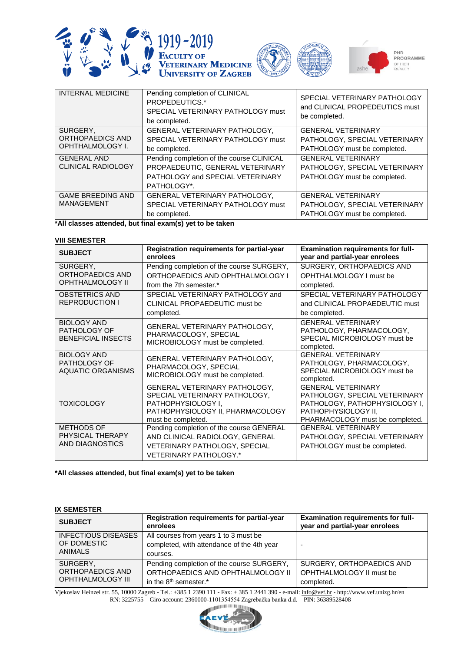





| <b>INTERNAL MEDICINE</b>  | Pending completion of CLINICAL<br>PROPEDEUTICS.*<br>SPECIAL VETERINARY PATHOLOGY must<br>be completed. | SPECIAL VETERINARY PATHOLOGY<br>and CLINICAL PROPEDEUTICS must<br>be completed. |
|---------------------------|--------------------------------------------------------------------------------------------------------|---------------------------------------------------------------------------------|
| SURGERY.                  | GENERAL VETERINARY PATHOLOGY,                                                                          | <b>GENERAL VETERINARY</b>                                                       |
| ORTHOPAEDICS AND          | SPECIAL VETERINARY PATHOLOGY must                                                                      | PATHOLOGY, SPECIAL VETERINARY                                                   |
| OPHTHALMOLOGY I.          | be completed.                                                                                          | PATHOLOGY must be completed.                                                    |
| <b>GENERAL AND</b>        | Pending completion of the course CLINICAL                                                              | <b>GENERAL VETERINARY</b>                                                       |
| <b>CLINICAL RADIOLOGY</b> | PROPAEDEUTIC, GENERAL VETERINARY                                                                       | PATHOLOGY, SPECIAL VETERINARY                                                   |
|                           | PATHOLOGY and SPECIAL VETERINARY                                                                       | PATHOLOGY must be completed.                                                    |
|                           | PATHOLOGY*.                                                                                            |                                                                                 |
| <b>GAME BREEDING AND</b>  | GENERAL VETERINARY PATHOLOGY,                                                                          | <b>GENERAL VETERINARY</b>                                                       |
| MANAGEMENT                | SPECIAL VETERINARY PATHOLOGY must                                                                      | PATHOLOGY, SPECIAL VETERINARY                                                   |
|                           | be completed.                                                                                          | PATHOLOGY must be completed.                                                    |

**\*All classes attended, but final exam(s) yet to be taken**

#### **VIII SEMESTER**

| <b>SUBJECT</b>                                                         | Registration requirements for partial-year<br>enrolees                                                                                         | <b>Examination requirements for full-</b><br>year and partial-year enrolees                                                                           |
|------------------------------------------------------------------------|------------------------------------------------------------------------------------------------------------------------------------------------|-------------------------------------------------------------------------------------------------------------------------------------------------------|
| SURGERY,<br>ORTHOPAEDICS AND                                           | Pending completion of the course SURGERY,<br>ORTHOPAEDICS AND OPHTHALMOLOGY I                                                                  | SURGERY, ORTHOPAEDICS AND                                                                                                                             |
| <b>OPHTHALMOLOGY II</b>                                                | from the 7th semester.*                                                                                                                        | OPHTHALMOLOGY I must be<br>completed.                                                                                                                 |
| <b>OBSTETRICS AND</b><br><b>REPRODUCTION I</b>                         | SPECIAL VETERINARY PATHOLOGY and<br>CLINICAL PROPAEDEUTIC must be                                                                              | SPECIAL VETERINARY PATHOLOGY<br>and CLINICAL PROPAEDEUTIC must                                                                                        |
|                                                                        | completed.                                                                                                                                     | be completed.                                                                                                                                         |
| <b>BIOLOGY AND</b><br><b>PATHOLOGY OF</b><br><b>BENEFICIAL INSECTS</b> | GENERAL VETERINARY PATHOLOGY,<br>PHARMACOLOGY, SPECIAL<br>MICROBIOLOGY must be completed.                                                      | <b>GENERAL VETERINARY</b><br>PATHOLOGY, PHARMACOLOGY,<br>SPECIAL MICROBIOLOGY must be<br>completed.                                                   |
| <b>BIOLOGY AND</b><br><b>PATHOLOGY OF</b><br><b>AQUATIC ORGANISMS</b>  | GENERAL VETERINARY PATHOLOGY,<br>PHARMACOLOGY, SPECIAL<br>MICROBIOLOGY must be completed.                                                      | <b>GENERAL VETERINARY</b><br>PATHOLOGY, PHARMACOLOGY,<br>SPECIAL MICROBIOLOGY must be<br>completed.                                                   |
| <b>TOXICOLOGY</b>                                                      | GENERAL VETERINARY PATHOLOGY,<br>SPECIAL VETERINARY PATHOLOGY,<br>PATHOPHYSIOLOGY I,<br>PATHOPHYSIOLOGY II, PHARMACOLOGY<br>must be completed. | <b>GENERAL VETERINARY</b><br>PATHOLOGY, SPECIAL VETERINARY<br>PATHOLOGY, PATHOPHYSIOLOGY I,<br>PATHOPHYSIOLOGY II,<br>PHARMACOLOGY must be completed. |
| <b>METHODS OF</b><br>PHYSICAL THERAPY                                  | Pending completion of the course GENERAL<br>AND CLINICAL RADIOLOGY, GENERAL                                                                    | <b>GENERAL VETERINARY</b><br>PATHOLOGY, SPECIAL VETERINARY                                                                                            |
| AND DIAGNOSTICS                                                        | <b>VETERINARY PATHOLOGY, SPECIAL</b><br><b>VETERINARY PATHOLOGY.*</b>                                                                          | PATHOLOGY must be completed.                                                                                                                          |

#### **\*All classes attended, but final exam(s) yet to be taken**

## **IX SEMESTER**

| <b>SUBJECT</b>                                           | Registration requirements for partial-year<br>enrolees                                                                | <b>Examination requirements for full-</b><br>year and partial-year enrolees |
|----------------------------------------------------------|-----------------------------------------------------------------------------------------------------------------------|-----------------------------------------------------------------------------|
| <b>INFECTIOUS DISEASES</b><br>OF DOMESTIC<br>ANIMALS     | All courses from years 1 to 3 must be<br>completed, with attendance of the 4th year<br>courses.                       |                                                                             |
| SURGERY,<br>ORTHOPAEDICS AND<br><b>OPHTHALMOLOGY III</b> | Pending completion of the course SURGERY,<br>ORTHOPAEDICS AND OPHTHALMOLOGY II<br>in the $8th$ semester. <sup>*</sup> | SURGERY, ORTHOPAEDICS AND<br>OPHTHALMOLOGY II must be<br>completed.         |

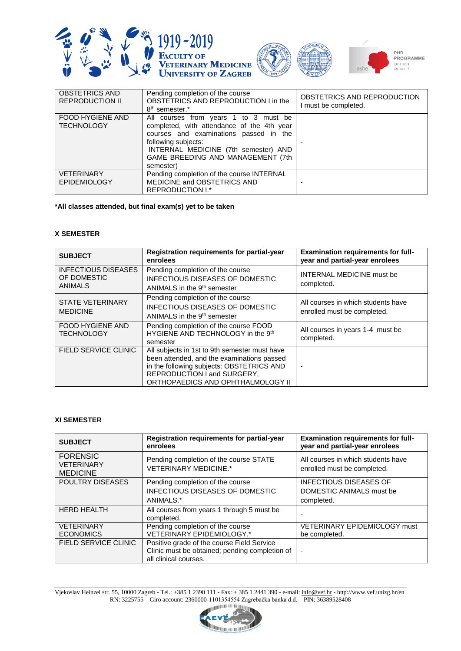





| <b>OBSTETRICS AND</b><br><b>REPRODUCTION II</b> | Pending completion of the course<br>OBSTETRICS AND REPRODUCTION I in the<br>8 <sup>th</sup> semester.*                                                                                                                                         | OBSTETRICS AND REPRODUCTION<br>I must be completed. |
|-------------------------------------------------|------------------------------------------------------------------------------------------------------------------------------------------------------------------------------------------------------------------------------------------------|-----------------------------------------------------|
| FOOD HYGIENE AND<br><b>TECHNOLOGY</b>           | All courses from years 1 to 3 must be<br>completed, with attendance of the 4th year<br>courses and examinations passed in the<br>following subjects:<br>INTERNAL MEDICINE (7th semester) AND<br>GAME BREEDING AND MANAGEMENT (7th<br>semester) |                                                     |
| <b>VETERINARY</b><br><b>EPIDEMIOLOGY</b>        | Pending completion of the course INTERNAL<br>MEDICINE and OBSTETRICS AND<br>REPRODUCTION I.*                                                                                                                                                   |                                                     |

#### **\*All classes attended, but final exam(s) yet to be taken**

#### **X SEMESTER**

| <b>SUBJECT</b>                                              | Registration requirements for partial-year<br>enrolees                                                                                                                                                       | <b>Examination requirements for full-</b><br>year and partial-year enrolees |
|-------------------------------------------------------------|--------------------------------------------------------------------------------------------------------------------------------------------------------------------------------------------------------------|-----------------------------------------------------------------------------|
| <b>INFECTIOUS DISEASES</b><br>OF DOMESTIC<br><b>ANIMALS</b> | Pending completion of the course<br><b>INFECTIOUS DISEASES OF DOMESTIC</b><br>ANIMALS in the 9 <sup>th</sup> semester                                                                                        | <b>INTERNAL MEDICINE must be</b><br>completed.                              |
| <b>STATE VETERINARY</b><br><b>MEDICINE</b>                  | Pending completion of the course<br><b>INFECTIOUS DISEASES OF DOMESTIC</b><br>ANIMALS in the 9 <sup>th</sup> semester                                                                                        | All courses in which students have<br>enrolled must be completed.           |
| FOOD HYGIENE AND<br><b>TECHNOLOGY</b>                       | Pending completion of the course FOOD<br>HYGIENE AND TECHNOLOGY in the 9th<br>semester                                                                                                                       | All courses in years 1-4 must be<br>completed.                              |
| FIELD SERVICE CLINIC                                        | All subjects in 1st to 9th semester must have<br>been attended, and the examinations passed<br>in the following subjects: OBSTETRICS AND<br>REPRODUCTION I and SURGERY,<br>ORTHOPAEDICS AND OPHTHALMOLOGY II | $\blacksquare$                                                              |

### **XI SEMESTER**

| <b>SUBJECT</b>                                          | Registration requirements for partial-year<br>enrolees                                                                | <b>Examination requirements for full-</b><br>year and partial-year enrolees |
|---------------------------------------------------------|-----------------------------------------------------------------------------------------------------------------------|-----------------------------------------------------------------------------|
| <b>FORENSIC</b><br><b>VETERINARY</b><br><b>MEDICINE</b> | Pending completion of the course STATE<br><b>VETERINARY MEDICINE.*</b>                                                | All courses in which students have<br>enrolled must be completed.           |
| POULTRY DISEASES                                        | Pending completion of the course<br><b>INFECTIOUS DISEASES OF DOMESTIC</b>                                            | <b>INFECTIOUS DISEASES OF</b><br>DOMESTIC ANIMALS must be                   |
|                                                         | ANIMALS.*                                                                                                             | completed.                                                                  |
| <b>HERD HEALTH</b>                                      | All courses from years 1 through 5 must be<br>completed.                                                              |                                                                             |
| <b>VETERINARY</b><br><b>ECONOMICS</b>                   | Pending completion of the course<br><b>VETERINARY EPIDEMIOLOGY.*</b>                                                  | VETERINARY EPIDEMIOLOGY must<br>be completed.                               |
| <b>FIELD SERVICE CLINIC</b>                             | Positive grade of the course Field Service<br>Clinic must be obtained; pending completion of<br>all clinical courses. | $\blacksquare$                                                              |

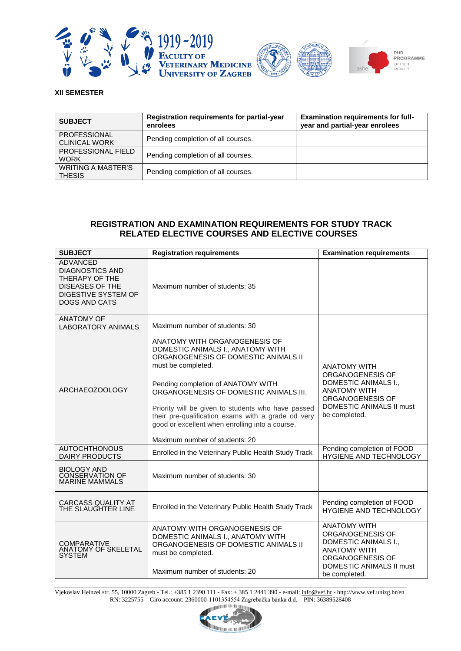





#### **XII SEMESTER**

| <b>SUBJECT</b>                             | Registration requirements for partial-year<br>enrolees | <b>Examination requirements for full-</b><br>year and partial-year enrolees |
|--------------------------------------------|--------------------------------------------------------|-----------------------------------------------------------------------------|
| PROFESSIONAL<br><b>CLINICAL WORK</b>       | Pending completion of all courses.                     |                                                                             |
| <b>PROFESSIONAL FIELD</b><br><b>WORK</b>   | Pending completion of all courses.                     |                                                                             |
| <b>WRITING A MASTER'S</b><br><b>THESIS</b> | Pending completion of all courses.                     |                                                                             |

# **REGISTRATION AND EXAMINATION REQUIREMENTS FOR STUDY TRACK RELATED ELECTIVE COURSES AND ELECTIVE COURSES**

| <b>SUBJECT</b>                                                                                                                       | <b>Registration requirements</b>                                                                                                                                                                                                                                                                                                                                                                                  | <b>Examination requirements</b>                                                                                                                         |
|--------------------------------------------------------------------------------------------------------------------------------------|-------------------------------------------------------------------------------------------------------------------------------------------------------------------------------------------------------------------------------------------------------------------------------------------------------------------------------------------------------------------------------------------------------------------|---------------------------------------------------------------------------------------------------------------------------------------------------------|
| <b>ADVANCED</b><br><b>DIAGNOSTICS AND</b><br>THERAPY OF THE<br><b>DISEASES OF THE</b><br>DIGESTIVE SYSTEM OF<br><b>DOGS AND CATS</b> | Maximum number of students: 35                                                                                                                                                                                                                                                                                                                                                                                    |                                                                                                                                                         |
| <b>ANATOMY OF</b><br><b>LABORATORY ANIMALS</b>                                                                                       | Maximum number of students: 30                                                                                                                                                                                                                                                                                                                                                                                    |                                                                                                                                                         |
| ARCHAEOZOOLOGY                                                                                                                       | ANATOMY WITH ORGANOGENESIS OF<br>DOMESTIC ANIMALS I., ANATOMY WITH<br>ORGANOGENESIS OF DOMESTIC ANIMALS II<br>must be completed.<br>Pending completion of ANATOMY WITH<br>ORGANOGENESIS OF DOMESTIC ANIMALS III.<br>Priority will be given to students who have passed<br>their pre-qualification exams with a grade od very<br>good or excellent when enrolling into a course.<br>Maximum number of students: 20 | <b>ANATOMY WITH</b><br>ORGANOGENESIS OF<br>DOMESTIC ANIMALS I.,<br><b>ANATOMY WITH</b><br>ORGANOGENESIS OF<br>DOMESTIC ANIMALS II must<br>be completed. |
| <b>AUTOCHTHONOUS</b><br><b>DAIRY PRODUCTS</b>                                                                                        | Enrolled in the Veterinary Public Health Study Track                                                                                                                                                                                                                                                                                                                                                              | Pending completion of FOOD<br>HYGIENE AND TECHNOLOGY                                                                                                    |
| <b>BIOLOGY AND</b><br><b>CONSERVATION OF</b><br>MARINE MAMMALS                                                                       | Maximum number of students: 30                                                                                                                                                                                                                                                                                                                                                                                    |                                                                                                                                                         |
| <b>CARCASS QUALITY AT</b><br>THE SLAUGHTER LINE                                                                                      | Enrolled in the Veterinary Public Health Study Track                                                                                                                                                                                                                                                                                                                                                              | Pending completion of FOOD<br><b>HYGIENE AND TECHNOLOGY</b>                                                                                             |
| <b>COMPARATIVE</b><br>ANATOMY OF SKELETAL<br><b>SYSTEM</b>                                                                           | ANATOMY WITH ORGANOGENESIS OF<br>DOMESTIC ANIMALS I., ANATOMY WITH<br>ORGANOGENESIS OF DOMESTIC ANIMALS II<br>must be completed.<br>Maximum number of students: 20                                                                                                                                                                                                                                                | <b>ANATOMY WITH</b><br>ORGANOGENESIS OF<br>DOMESTIC ANIMALS I.,<br><b>ANATOMY WITH</b><br>ORGANOGENESIS OF<br>DOMESTIC ANIMALS II must<br>be completed. |

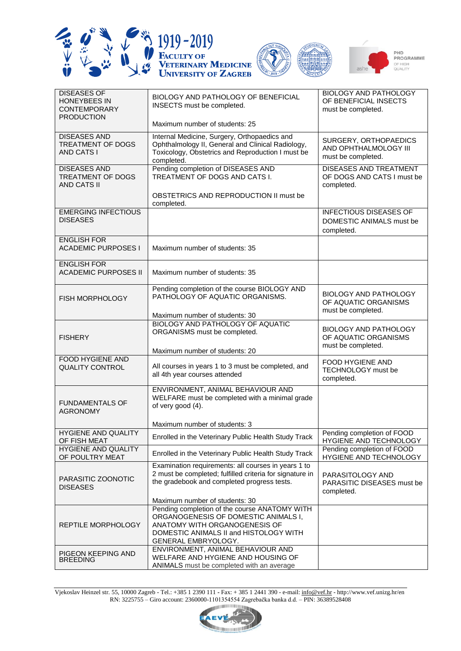





| <b>DISEASES OF</b><br><b>HONEYBEES IN</b><br><b>CONTEMPORARY</b>     | BIOLOGY AND PATHOLOGY OF BENEFICIAL<br>INSECTS must be completed.                                                                                                    | <b>BIOLOGY AND PATHOLOGY</b><br>OF BENEFICIAL INSECTS<br>must be completed. |
|----------------------------------------------------------------------|----------------------------------------------------------------------------------------------------------------------------------------------------------------------|-----------------------------------------------------------------------------|
| <b>PRODUCTION</b>                                                    | Maximum number of students: 25                                                                                                                                       |                                                                             |
| <b>DISEASES AND</b><br><b>TREATMENT OF DOGS</b><br><b>AND CATS I</b> | Internal Medicine, Surgery, Orthopaedics and<br>Ophthalmology II, General and Clinical Radiology,<br>Toxicology, Obstetrics and Reproduction I must be<br>completed. | SURGERY, ORTHOPAEDICS<br>AND OPHTHALMOLOGY III<br>must be completed.        |
| <b>DISEASES AND</b><br>TREATMENT OF DOGS<br><b>AND CATS II</b>       | Pending completion of DISEASES AND<br>TREATMENT OF DOGS AND CATS I.                                                                                                  | <b>DISEASES AND TREATMENT</b><br>OF DOGS AND CATS I must be<br>completed.   |
|                                                                      | OBSTETRICS AND REPRODUCTION II must be<br>completed.                                                                                                                 |                                                                             |
| <b>EMERGING INFECTIOUS</b><br><b>DISEASES</b>                        |                                                                                                                                                                      | <b>INFECTIOUS DISEASES OF</b><br>DOMESTIC ANIMALS must be<br>completed.     |
| <b>ENGLISH FOR</b><br><b>ACADEMIC PURPOSES I</b>                     | Maximum number of students: 35                                                                                                                                       |                                                                             |
| <b>ENGLISH FOR</b><br><b>ACADEMIC PURPOSES II</b>                    | Maximum number of students: 35                                                                                                                                       |                                                                             |
| FISH MORPHOLOGY                                                      | Pending completion of the course BIOLOGY AND<br>PATHOLOGY OF AQUATIC ORGANISMS.                                                                                      | <b>BIOLOGY AND PATHOLOGY</b><br>OF AQUATIC ORGANISMS<br>must be completed.  |
|                                                                      | Maximum number of students: 30<br><b>BIOLOGY AND PATHOLOGY OF AQUATIC</b>                                                                                            |                                                                             |
| <b>FISHERY</b>                                                       | ORGANISMS must be completed.<br>Maximum number of students: 20                                                                                                       | <b>BIOLOGY AND PATHOLOGY</b><br>OF AQUATIC ORGANISMS<br>must be completed.  |
| FOOD HYGIENE AND<br><b>QUALITY CONTROL</b>                           | All courses in years 1 to 3 must be completed, and<br>all 4th year courses attended                                                                                  | FOOD HYGIENE AND<br>TECHNOLOGY must be<br>completed.                        |
| <b>FUNDAMENTALS OF</b><br><b>AGRONOMY</b>                            | ENVIRONMENT, ANIMAL BEHAVIOUR AND<br>WELFARE must be completed with a minimal grade<br>of very good (4).                                                             |                                                                             |
| <b>HYGIENE AND QUALITY</b>                                           | Maximum number of students: 3                                                                                                                                        | Pending completion of FOOD                                                  |
| OF FISH MEAT                                                         | Enrolled in the Veterinary Public Health Study Track                                                                                                                 | HYGIENE AND TECHNOLOGY                                                      |
| <b>HYGIENE AND QUALITY</b><br>OF POULTRY MEAT                        | Enrolled in the Veterinary Public Health Study Track                                                                                                                 | Pending completion of FOOD<br>HYGIENE AND TECHNOLOGY                        |
| PARASITIC ZOONOTIC<br><b>DISEASES</b>                                | Examination requirements: all courses in years 1 to<br>2 must be completed; fulfilled criteria for signature in<br>the gradebook and completed progress tests.       | PARASITOLOGY AND<br>PARASITIC DISEASES must be<br>completed.                |
|                                                                      | Maximum number of students: 30<br>Pending completion of the course ANATOMY WITH                                                                                      |                                                                             |
| REPTILE MORPHOLOGY                                                   | ORGANOGENESIS OF DOMESTIC ANIMALS I,<br>ANATOMY WITH ORGANOGENESIS OF<br>DOMESTIC ANIMALS II and HISTOLOGY WITH<br>GENERAL EMBRYOLOGY.                               |                                                                             |
| PIGEON KEEPING AND<br><b>BREEDING</b>                                | ENVIRONMENT, ANIMAL BEHAVIOUR AND<br>WELFARE AND HYGIENE AND HOUSING OF<br>ANIMALS must be completed with an average                                                 |                                                                             |